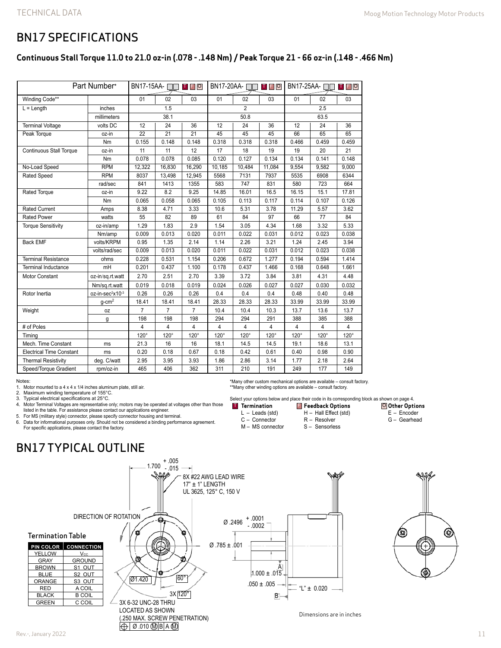## BN17 SPECIFICATIONS

### **Continuous Stall Torque 11.0 to 21.0 oz-in (.078 - .148 Nm) / Peak Torque 21 - 66 oz-in (.148 - .466 Nm)**

| Part Number*                    |                              | $BN17-15AA - \Box$<br><b>TFO</b> |                | BN17-20AA-□□<br>T F O |             |             | BN17-25AA-□□<br><b>TF</b> O |             |             |             |
|---------------------------------|------------------------------|----------------------------------|----------------|-----------------------|-------------|-------------|-----------------------------|-------------|-------------|-------------|
| Winding Code**                  |                              | 01                               | 02             | 03                    | 01          | 02          | 03                          | 01          | 02          | 03          |
| $L = Length$                    | inches                       | 1.5                              |                | $\overline{2}$        |             |             | 2.5                         |             |             |             |
| millimeters                     |                              | 38.1                             |                |                       | 50.8        |             |                             | 63.5        |             |             |
| <b>Terminal Voltage</b>         | volts DC                     | 12                               | 24             | 36                    | 12          | 24          | 36                          | 12          | 24          | 36          |
| Peak Torque                     | oz-in                        | $\overline{22}$                  | 21             | 21                    | 45          | 45          | 45                          | 66          | 65          | 65          |
|                                 | Nm                           | 0.155                            | 0.148          | 0.148                 | 0.318       | 0.318       | 0.318                       | 0.466       | 0.459       | 0.459       |
| <b>Continuous Stall Torque</b>  | oz-in                        | 11                               | 11             | 12                    | 17          | 18          | 19                          | 19          | 20          | 21          |
|                                 | Nm                           | 0.078                            | 0.078          | 0.085                 | 0.120       | 0.127       | 0.134                       | 0.134       | 0.141       | 0.148       |
| No-Load Speed                   | <b>RPM</b>                   | 12,322                           | 16,830         | 16,290                | 10,185      | 10,484      | 11,084                      | 9,554       | 9,582       | 9,000       |
| <b>Rated Speed</b>              | <b>RPM</b>                   | 8037                             | 13,498         | 12,945                | 5568        | 7131        | 7937                        | 5535        | 6908        | 6344        |
|                                 | rad/sec                      | 841                              | 1413           | 1355                  | 583         | 747         | 831                         | 580         | 723         | 664         |
| Rated Torque                    | oz-in                        | 9.22                             | 8.2            | 9.25                  | 14.85       | 16.01       | 16.5                        | 16.15       | 15.1        | 17.81       |
|                                 | Nm                           | 0.065                            | 0.058          | 0.065                 | 0.105       | 0.113       | 0.117                       | 0.114       | 0.107       | 0.126       |
| <b>Rated Current</b>            | Amps                         | 8.38                             | 4.71           | 3.33                  | 10.6        | 5.31        | 3.78                        | 11.29       | 5.57        | 3.62        |
| <b>Rated Power</b>              | watts                        | 55                               | 82             | 89                    | 61          | 84          | 97                          | 66          | 77          | 84          |
| <b>Torque Sensitivity</b>       | oz-in/amp                    | 1.29                             | 1.83           | 2.9                   | 1.54        | 3.05        | 4.34                        | 1.68        | 3.32        | 5.33        |
|                                 | Nm/amp                       | 0.009                            | 0.013          | 0.020                 | 0.011       | 0.022       | 0.031                       | 0.012       | 0.023       | 0.038       |
| <b>Back EMF</b>                 | volts/KRPM                   | 0.95                             | 1.35           | 2.14                  | 1.14        | 2.26        | 3.21                        | 1.24        | 2.45        | 3.94        |
|                                 | volts/rad/sec                | 0.009                            | 0.013          | 0.020                 | 0.011       | 0.022       | 0.031                       | 0.012       | 0.023       | 0.038       |
| <b>Terminal Resistance</b>      | ohms                         | 0.228                            | 0.531          | 1.154                 | 0.206       | 0.672       | 1.277                       | 0.194       | 0.594       | 1.414       |
| <b>Terminal Inductance</b>      | mH                           | 0.201                            | 0.437          | 1.100                 | 0.178       | 0.437       | 1.466                       | 0.168       | 0.648       | 1.661       |
| Motor Constant                  | oz-in/sq.rt.watt             | 2.70                             | 2.51           | 2.70                  | 3.39        | 3.72        | 3.84                        | 3.81        | 4.31        | 4.48        |
|                                 | Nm/sq.rt.watt                | 0.019                            | 0.018          | 0.019                 | 0.024       | 0.026       | 0.027                       | 0.027       | 0.030       | 0.032       |
| Rotor Inertia                   | oz-in-sec <sup>2</sup> x10-3 | 0.26                             | 0.26           | 0.26                  | 0.4         | 0.4         | 0.4                         | 0.48        | 0.40        | 0.48        |
|                                 | $q$ -cm <sup>2</sup>         | 18.41                            | 18.41          | 18.41                 | 28.33       | 28.33       | 28.33                       | 33.99       | 33.99       | 33.99       |
| Weight                          | oz                           | $\overline{7}$                   | $\overline{7}$ | $\overline{7}$        | 10.4        | 10.4        | 10.3                        | 13.7        | 13.6        | 13.7        |
|                                 | g                            | 198                              | 198            | 198                   | 294         | 294         | 291                         | 388         | 385         | 388         |
| # of Poles                      |                              | 4                                | 4              | 4                     | 4           | 4           | 4                           | 4           | 4           | 4           |
| Timina                          |                              | $120^\circ$                      | $120^\circ$    | 120°                  | $120^\circ$ | $120^\circ$ | $120^\circ$                 | $120^\circ$ | $120^\circ$ | $120^\circ$ |
| Mech. Time Constant             | ms                           | 21.3                             | 16             | 16                    | 18.1        | 14.5        | 14.5                        | 19.1        | 18.6        | 13.1        |
| <b>Electrical Time Constant</b> | ms                           | 0.20                             | 0.18           | 0.67                  | 0.18        | 0.42        | 0.61                        | 0.40        | 0.98        | 0.90        |
| <b>Thermal Resistivity</b>      | deg. C/watt                  | 2.95                             | 3.95           | 3.93                  | 1.86        | 2.86        | 3.14                        | 1.77        | 2.18        | 2.64        |
| Speed/Torque Gradient           | rpm/oz-in                    | 465                              | 406            | 362                   | 311         | 210         | 191                         | 249         | 177         | 149         |

Notes:

1. Motor mounted to a 4 x 4 x 1/4 inches aluminum plate, still air.<br>2. Maximum winding temperature of  $155^{\circ}$ C.

2. Maximum winding temperature of 155°C.<br>3. Typical electrical specifications at 25°C.

Typical electrical specifications at 25°C.

4. Motor Terminal Voltages are representative only; motors may be operated at voltages other than those listed in the table. For assistance please contact our applications engineer.

5. For MS (military style) connector, please specify connector housing and terminal.

6. Data for informational purposes only. Should not be considered a binding performance agreement. For specific applications, please contact the factory.

## BN17 TYPICAL OUTLINE





\*Many other custom mechanical options are available – consult factory. \*\*Many other winding options are available – consult factory.

Select your options below and place their code in its corresponding block as shown on page 4. **Other Options Termination**

- $L -$  Leads (std) **FREEDBACK Options** 
	- H Hall Effect (std) R – Resolver
	- C Connector M – MS connector

S – Sensorless

- E Encoder G – Gearhead
	-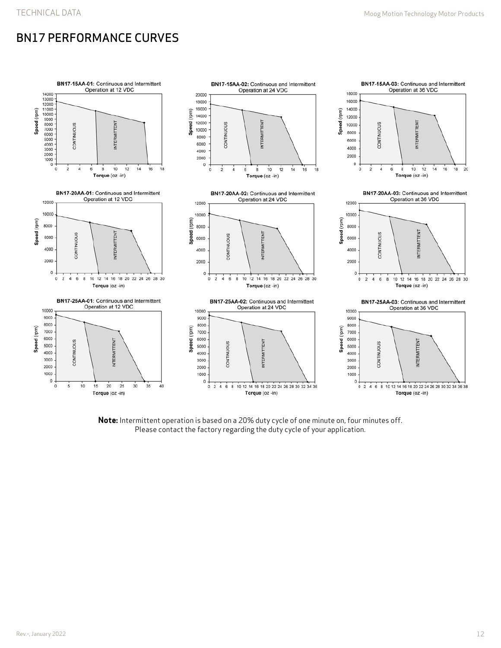# BN17 PERFORMANCE CURVES



**Note:** Intermittent operation is based on a 20% duty cycle of one minute on, four minutes off. Please contact the factory regarding the duty cycle of your application.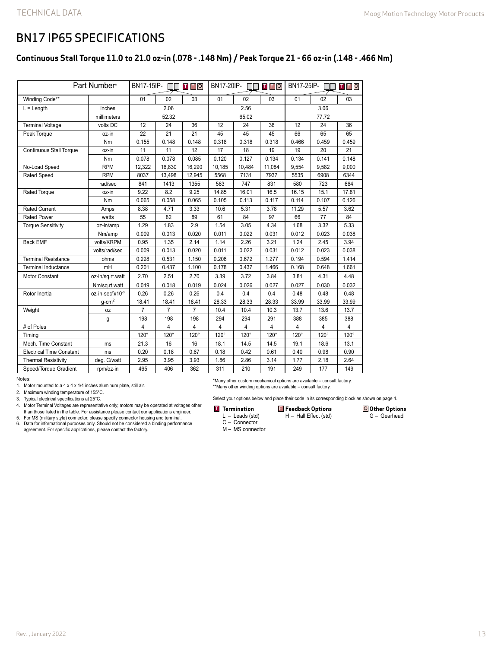### BN17 IP65 SPECIFICATIONS

### **Continuous Stall Torque 11.0 to 21.0 oz-in (.078 - .148 Nm) / Peak Torque 21 - 66 oz-in (.148 - .466 Nm)**

| Part Number*                    |                              | BN17-15IP-<br><b>TFO</b> |                 | BN17-20IP-<br><b>TFO</b> |             |                 | BN17-25IP-<br><b>TFO</b> |                |       |                 |
|---------------------------------|------------------------------|--------------------------|-----------------|--------------------------|-------------|-----------------|--------------------------|----------------|-------|-----------------|
| Winding Code**                  |                              | 01                       | 02              | 03                       | 01          | 02              | 03                       | 01             | 02    | 03              |
| $L =$ Length                    | inches                       | 2.06                     |                 |                          | 2.56        |                 |                          | 3.06           |       |                 |
|                                 | millimeters                  | 52.32                    |                 |                          | 65.02       |                 |                          | 77.72          |       |                 |
| <b>Terminal Voltage</b>         | volts DC                     | 12                       | 24              | 36                       | 12          | 24              | 36                       | 12             | 24    | 36              |
| Peak Torque                     | oz-in                        | $\overline{22}$          | $\overline{21}$ | $\overline{21}$          | 45          | $\overline{45}$ | 45                       | 66             | 65    | $\overline{65}$ |
|                                 | Nm                           | 0.155                    | 0.148           | 0.148                    | 0.318       | 0.318           | 0.318                    | 0.466          | 0.459 | 0.459           |
| <b>Continuous Stall Torque</b>  | oz-in                        | 11                       | 11              | 12                       | 17          | 18              | 19                       | 19             | 20    | 21              |
|                                 | Nm                           | 0.078                    | 0.078           | 0.085                    | 0.120       | 0.127           | 0.134                    | 0.134          | 0.141 | 0.148           |
| No-Load Speed                   | <b>RPM</b>                   | 12,322                   | 16,830          | 16,290                   | 10,185      | 10,484          | 11,084                   | 9,554          | 9,582 | 9,000           |
| Rated Speed                     | <b>RPM</b>                   | 8037                     | 13,498          | 12,945                   | 5568        | 7131            | 7937                     | 5535           | 6908  | 6344            |
|                                 | rad/sec                      | 841                      | 1413            | 1355                     | 583         | 747             | 831                      | 580            | 723   | 664             |
| Rated Torque                    | oz-in                        | 9.22                     | 8.2             | 9.25                     | 14.85       | 16.01           | 16.5                     | 16.15          | 15.1  | 17.81           |
|                                 | Nm                           | 0.065                    | 0.058           | 0.065                    | 0.105       | 0.113           | 0.117                    | 0.114          | 0.107 | 0.126           |
| <b>Rated Current</b>            | Amps                         | 8.38                     | 4.71            | 3.33                     | 10.6        | 5.31            | 3.78                     | 11.29          | 5.57  | 3.62            |
| <b>Rated Power</b>              | watts                        | 55                       | 82              | 89                       | 61          | 84              | 97                       | 66             | 77    | 84              |
| <b>Torque Sensitivity</b>       | oz-in/amp                    | 1.29                     | 1.83            | 2.9                      | 1.54        | 3.05            | 4.34                     | 1.68           | 3.32  | 5.33            |
|                                 | Nm/amp                       | 0.009                    | 0.013           | 0.020                    | 0.011       | 0.022           | 0.031                    | 0.012          | 0.023 | 0.038           |
| <b>Back EMF</b>                 | volts/KRPM                   | 0.95                     | 1.35            | 2.14                     | 1.14        | 2.26            | 3.21                     | 1.24           | 2.45  | 3.94            |
|                                 | volts/rad/sec                | 0.009                    | 0.013           | 0.020                    | 0.011       | 0.022           | 0.031                    | 0.012          | 0.023 | 0.038           |
| <b>Terminal Resistance</b>      | ohms                         | 0.228                    | 0.531           | 1.150                    | 0.206       | 0.672           | 1.277                    | 0.194          | 0.594 | 1.414           |
| Terminal Inductance             | mH                           | 0.201                    | 0.437           | 1.100                    | 0.178       | 0.437           | 1.466                    | 0.168          | 0.648 | 1.661           |
| <b>Motor Constant</b>           | oz-in/sq.rt.watt             | 2.70                     | 2.51            | 2.70                     | 3.39        | 3.72            | 3.84                     | 3.81           | 4.31  | 4.48            |
|                                 | Nm/sq.rt.watt                | 0.019                    | 0.018           | 0.019                    | 0.024       | 0.026           | 0.027                    | 0.027          | 0.030 | 0.032           |
| Rotor Inertia                   | oz-in-sec <sup>2</sup> x10-3 | 0.26                     | 0.26            | 0.26                     | 0.4         | 0.4             | 0.4                      | 0.48           | 0.48  | 0.48            |
|                                 | $q$ -cm <sup>2</sup>         | 18.41                    | 18.41           | 18.41                    | 28.33       | 28.33           | 28.33                    | 33.99          | 33.99 | 33.99           |
| Weight                          | 0Z                           | $\overline{7}$           | $\overline{7}$  | $\overline{7}$           | 10.4        | 10.4            | 10.3                     | 13.7           | 13.6  | 13.7            |
|                                 | g                            | 198                      | 198             | 198                      | 294         | 294             | 291                      | 388            | 385   | 388             |
| # of Poles                      |                              | 4                        | 4               | 4                        | 4           | $\overline{4}$  | 4                        | $\overline{4}$ | 4     | $\overline{4}$  |
| Timina                          |                              | $120^\circ$              | $120^\circ$     | $120^\circ$              | $120^\circ$ | $120^\circ$     | $120^\circ$              | $120^\circ$    | 120°  | $120^\circ$     |
| Mech. Time Constant             | ms                           | 21.3                     | 16              | 16                       | 18.1        | 14.5            | 14.5                     | 19.1           | 18.6  | 13.1            |
| <b>Electrical Time Constant</b> | ms                           | 0.20                     | 0.18            | 0.67                     | 0.18        | 0.42            | 0.61                     | 0.40           | 0.98  | 0.90            |
| <b>Thermal Resistivity</b>      | deg. C/watt                  | 2.95                     | 3.95            | 3.93                     | 1.86        | 2.86            | 3.14                     | 1.77           | 2.18  | 2.64            |
| Speed/Torque Gradient           | rpm/oz-in                    | 465                      | 406             | 362                      | 311         | 210             | 191                      | 249            | 177   | 149             |

Notes:

1. Motor mounted to a 4 x 4 x 1/4 inches aluminum plate, still air.

2. Maximum winding temperature of 155°C.

3. Typical electrical specifications at 25°C.

5. For MS (military style) connector, please specify connector housing and terminal. 6. Data for informational purposes only. Should not be considered a binding performance agreement. For specific applications, please contact the factory.

\*Many other custom mechanical options are available – consult factory. \*\*Many other winding options are available – consult factory.

Select your options below and place their code in its corresponding block as shown on page 4.

#### **Termination F** Feedback Options O

H – Hall Effect (std)

**Other Options** G – Gearhead

- L Leads (std) C – Connector
- M MS connector

<sup>4.</sup> Motor Terminal Voltages are representative only; motors may be operated at voltages other than those listed in the table. For assistance please contact our applications engineer.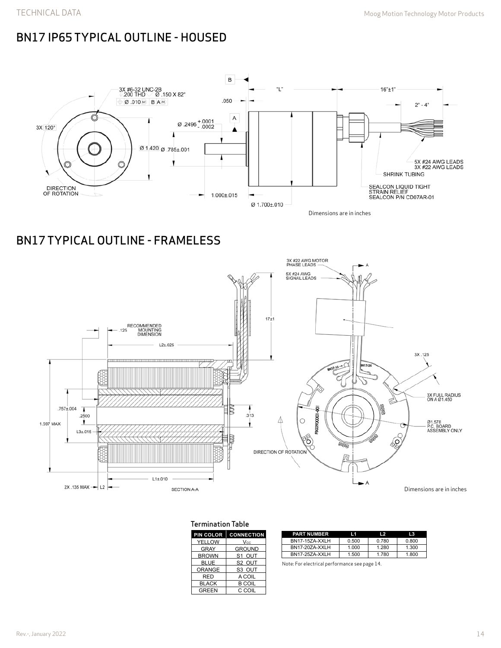# BN17 IP65 TYPICAL OUTLINE - HOUSED



# BN17 TYPICAL OUTLINE - FRAMELESS



### Termination Table

| PIN COLOR     | <b>CONNECTION</b>  |
|---------------|--------------------|
| <b>YELLOW</b> | <b>Vcc</b>         |
| <b>GRAY</b>   | <b>GROUND</b>      |
| <b>BROWN</b>  | S <sub>1</sub> OUT |
| <b>BLUE</b>   | S <sub>2</sub> OUT |
| <b>ORANGE</b> | S3 OUT             |
| <b>RED</b>    | A COIL             |
| <b>BLACK</b>  | <b>B COIL</b>      |
| <b>GREEN</b>  | C COIL             |
|               |                    |

| <b>PART NUMBER</b>    | I 1   | $\overline{2}$ | 13    |
|-----------------------|-------|----------------|-------|
| BN17-15ZA-XXLH        | 0.500 | 0.780          | 0.800 |
| <b>BN17-207A-XXLH</b> | 1.000 | 1.280          | 1.300 |
| BN17-25ZA-XXLH        | 1.500 | 1.780          | 1.800 |

Note: For electrical performance see page 14.